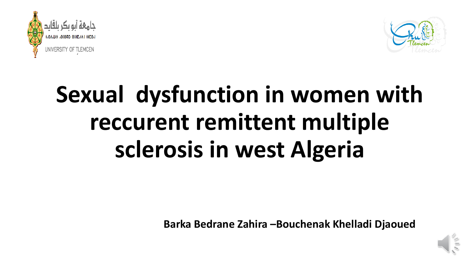



# **Sexual dysfunction in women with reccurent remittent multiple sclerosis in west Algeria**

**Barka Bedrane Zahira –Bouchenak Khelladi Djaoued**

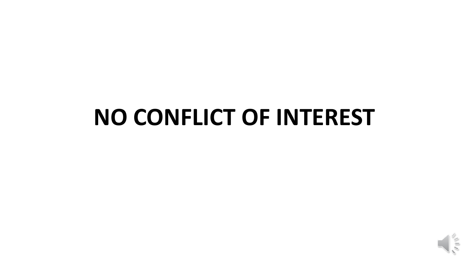# **NO CONFLICT OF INTEREST**

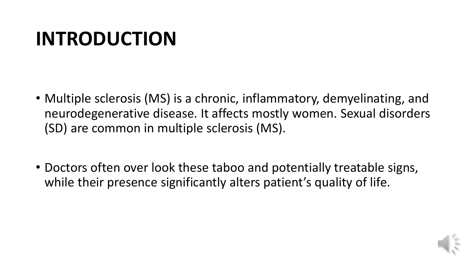#### **INTRODUCTION**

- Multiple sclerosis (MS) is a chronic, inflammatory, demyelinating, and neurodegenerative disease. It affects mostly women. Sexual disorders (SD) are common in multiple sclerosis (MS).
- Doctors often over look these taboo and potentially treatable signs, while their presence significantly alters patient's quality of life.

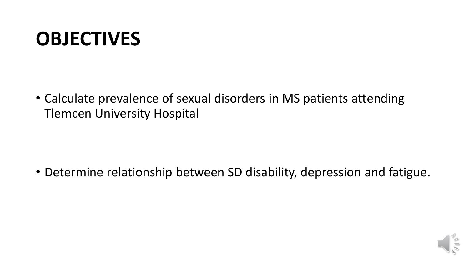#### **OBJECTIVES**

• Calculate prevalence of sexual disorders in MS patients attending Tlemcen University Hospital

• Determine relationship between SD disability, depression and fatigue.

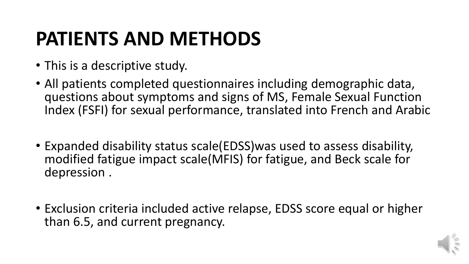## **PATIENTS AND METHODS**

- This is a descriptive study.
- All patients completed questionnaires including demographic data, questions about symptoms and signs of MS, Female Sexual Function Index (FSFI) for sexual performance, translated into French and Arabic
- Expanded disability status scale(EDSS)was used to assess disability, modified fatigue impact scale(MFIS) for fatigue, and Beck scale for depression .
- Exclusion criteria included active relapse, EDSS score equal or higher than 6.5, and current pregnancy.

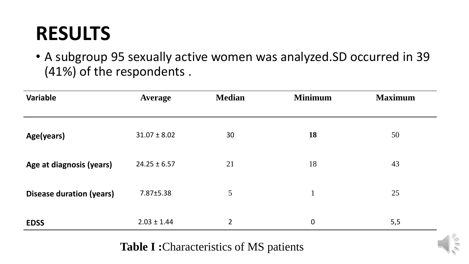• A subgroup 95 sexually active women was analyzed.SD occurred in 39 (41%) of the respondents .

| Variable                        | <b>Average</b>   | <b>Median</b>  | <b>Minimum</b> | <b>Maximum</b> |
|---------------------------------|------------------|----------------|----------------|----------------|
| Age(years)                      | $31.07 \pm 8.02$ | 30             | <b>18</b>      | 50             |
| Age at diagnosis (years)        | $24.25 \pm 6.57$ | 21             | 18             | 43             |
| <b>Disease duration (years)</b> | 7.87±5.38        | 5              | $\mathbf{1}$   | 25             |
| <b>EDSS</b>                     | $2.03 \pm 1.44$  | 2 <sup>1</sup> | $\mathbf 0$    | 5,5            |

**Table I :**Characteristics of MS patients

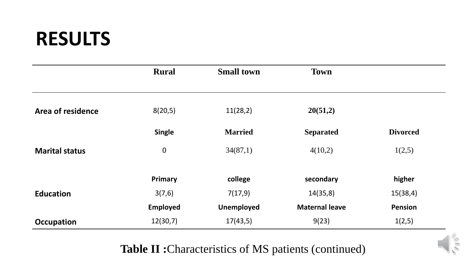|                       | <b>Rural</b>    | <b>Small town</b> | <b>Town</b>           |                 |
|-----------------------|-----------------|-------------------|-----------------------|-----------------|
|                       |                 |                   |                       |                 |
| Area of residence     | 8(20,5)         | 11(28,2)          | 20(51,2)              |                 |
|                       | <b>Single</b>   | <b>Married</b>    | <b>Separated</b>      | <b>Divorced</b> |
| <b>Marital status</b> | $\mathbf 0$     | 34(87,1)          | 4(10,2)               | 1(2,5)          |
|                       | Primary         | college           | secondary             | higher          |
| <b>Education</b>      | 3(7,6)          | 7(17,9)           | 14(35,8)              | 15(38,4)        |
|                       | <b>Employed</b> | <b>Unemployed</b> | <b>Maternal leave</b> | <b>Pension</b>  |
| <b>Occupation</b>     | 12(30,7)        | 17(43,5)          | 9(23)                 | 1(2,5)          |

**Table II :**Characteristics of MS patients (continued)

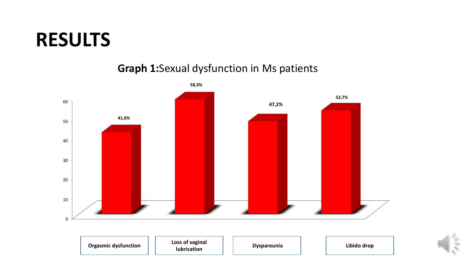#### **Graph 1:**Sexual dysfunction in Ms patients



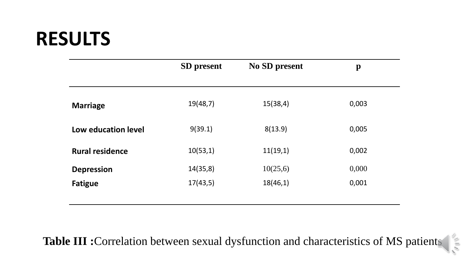|                        | <b>SD</b> present | <b>No SD present</b> | $\mathbf{p}$ |
|------------------------|-------------------|----------------------|--------------|
| <b>Marriage</b>        | 19(48,7)          | 15(38,4)             | 0,003        |
| Low education level    | 9(39.1)           | 8(13.9)              | 0,005        |
| <b>Rural residence</b> | 10(53,1)          | 11(19,1)             | 0,002        |
| <b>Depression</b>      | 14(35,8)          | 10(25,6)             | 0,000        |
| <b>Fatigue</b>         | 17(43,5)          | 18(46,1)             | 0,001        |
|                        |                   |                      |              |

**Table III :**Correlation between sexual dysfunction and characteristics of MS patients

 $\frac{1}{2}$